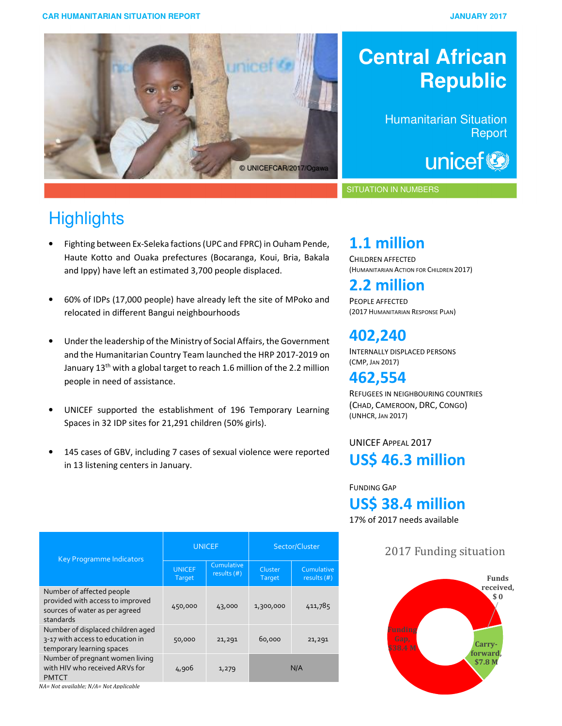

# **Central African Republic**

Humanitarian Situation **Report** 

unicef<sup>®</sup>

#### SITUATION IN NUMBERS

# **Highlights**

ļ

- Fighting between Ex-Seleka factions(UPC and FPRC) in Ouham Pende, Haute Kotto and Ouaka prefectures (Bocaranga, Koui, Bria, Bakala and Ippy) have left an estimated 3,700 people displaced.
- 60% of IDPs (17,000 people) have already left the site of MPoko and relocated in different Bangui neighbourhoods
- Under the leadership of the Ministry of Social Affairs, the Government and the Humanitarian Country Team launched the HRP 2017-2019 on January 13<sup>th</sup> with a global target to reach 1.6 million of the 2.2 million people in need of assistance.
- UNICEF supported the establishment of 196 Temporary Learning Spaces in 32 IDP sites for 21,291 children (50% girls).
- 145 cases of GBV, including 7 cases of sexual violence were reported in 13 listening centers in January.

| <b>Key Programme Indicators</b>                                                                              | <b>UNICEF</b>           |                             | Sector/Cluster    |                             |
|--------------------------------------------------------------------------------------------------------------|-------------------------|-----------------------------|-------------------|-----------------------------|
|                                                                                                              | <b>UNICEF</b><br>Target | Cumulative<br>results $(#)$ | Cluster<br>Target | Cumulative<br>results $(#)$ |
| Number of affected people<br>provided with access to improved<br>sources of water as per agreed<br>standards | 450,000                 | 43,000                      | 1,300,000         | 411,785                     |
| Number of displaced children aged<br>3-17 with access to education in<br>temporary learning spaces           | 50,000                  | 21,291                      | 60,000            | 21,291                      |
| Number of pregnant women living<br>with HIV who received ARVs for<br><b>PMTCT</b>                            | 4,906                   | 1,279                       |                   | N/A                         |

*NA= Not available; N/A= Not Applicable*

## **1.1 million**

CHILDREN AFFECTED (HUMANITARIAN ACTION FOR CHILDREN 2017)

## **2.2 million**

PEOPLE AFFECTED (2017 HUMANITARIAN RESPONSE PLAN)

## **402,240**

INTERNALLY DISPLACED PERSONS (CMP, JAN 2017)

## **462,554**

REFUGEES IN NEIGHBOURING COUNTRIES (CHAD, CAMEROON, DRC, CONGO) (UNHCR, JAN 2017)

### UNICEF APPEAL 2017 **US\$ 46.3 million**

#### FUNDING GAP

**US\$ 38.4 million** 

17% of 2017 needs available

### 2017 Funding situation

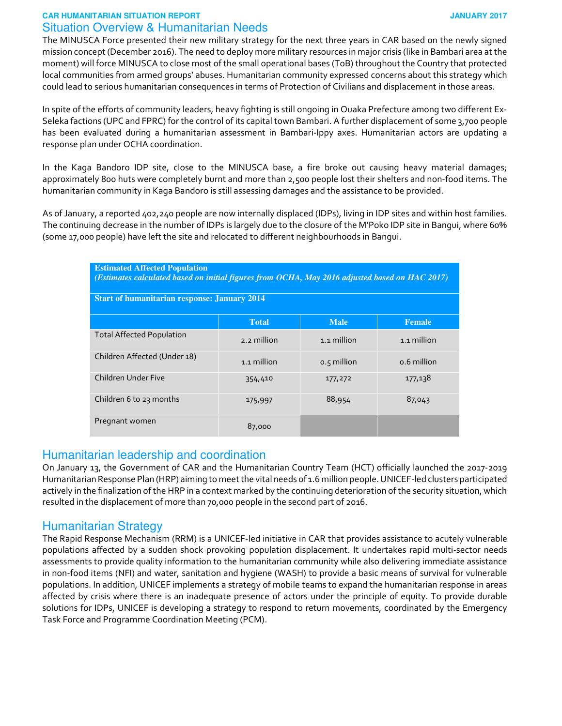#### **CAR HUMANITARIAN SITUATION REPORT JANUARY 2017** Situation Overview & Humanitarian Needs

The MINUSCA Force presented their new military strategy for the next three years in CAR based on the newly signed mission concept (December 2016). The need to deploy more military resources in major crisis (like in Bambari area at the moment) will force MINUSCA to close most of the small operational bases (ToB) throughout the Country that protected local communities from armed groups' abuses. Humanitarian community expressed concerns about this strategy which could lead to serious humanitarian consequences in terms of Protection of Civilians and displacement in those areas.

In spite of the efforts of community leaders, heavy fighting is still ongoing in Ouaka Prefecture among two different Ex-Seleka factions (UPC and FPRC) for the control of its capital town Bambari. A further displacement of some 3,700 people has been evaluated during a humanitarian assessment in Bambari-Ippy axes. Humanitarian actors are updating a response plan under OCHA coordination.

In the Kaga Bandoro IDP site, close to the MINUSCA base, a fire broke out causing heavy material damages; approximately 800 huts were completely burnt and more than 2,500 people lost their shelters and non-food items. The humanitarian community in Kaga Bandoro is still assessing damages and the assistance to be provided.

As of January, a reported 402,240 people are now internally displaced (IDPs), living in IDP sites and within host families. The continuing decrease in the number of IDPs is largely due to the closure of the M'Poko IDP site in Bangui, where 60% (some 17,000 people) have left the site and relocated to different neighbourhoods in Bangui.

| <b>Estimated Affected Population</b><br>(Estimates calculated based on initial figures from OCHA, May 2016 adjusted based on HAC 2017) |              |             |               |  |  |
|----------------------------------------------------------------------------------------------------------------------------------------|--------------|-------------|---------------|--|--|
| <b>Start of humanitarian response: January 2014</b>                                                                                    |              |             |               |  |  |
|                                                                                                                                        | <b>Total</b> | <b>Male</b> | <b>Female</b> |  |  |
| <b>Total Affected Population</b>                                                                                                       | 2.2 million  | 1.1 million | 1.1 million   |  |  |
| Children Affected (Under 18)                                                                                                           | 1.1 million  | 0.5 million | 0.6 million   |  |  |
| Children Under Five                                                                                                                    | 354,410      | 177,272     | 177,138       |  |  |
| Children 6 to 23 months                                                                                                                | 175,997      | 88,954      | 87,043        |  |  |
| Pregnant women                                                                                                                         | 87,000       |             |               |  |  |

#### Humanitarian leadership and coordination

On January 13, the Government of CAR and the Humanitarian Country Team (HCT) officially launched the 2017-2019 Humanitarian Response Plan (HRP) aiming to meet the vital needs of 1.6 million people. UNICEF-led clusters participated actively in the finalization of the HRP in a context marked by the continuing deterioration of the security situation, which resulted in the displacement of more than 70,000 people in the second part of 2016.

#### Humanitarian Strategy

The Rapid Response Mechanism (RRM) is a UNICEF-led initiative in CAR that provides assistance to acutely vulnerable populations affected by a sudden shock provoking population displacement. It undertakes rapid multi-sector needs assessments to provide quality information to the humanitarian community while also delivering immediate assistance in non-food items (NFI) and water, sanitation and hygiene (WASH) to provide a basic means of survival for vulnerable populations. In addition, UNICEF implements a strategy of mobile teams to expand the humanitarian response in areas affected by crisis where there is an inadequate presence of actors under the principle of equity. To provide durable solutions for IDPs, UNICEF is developing a strategy to respond to return movements, coordinated by the Emergency Task Force and Programme Coordination Meeting (PCM).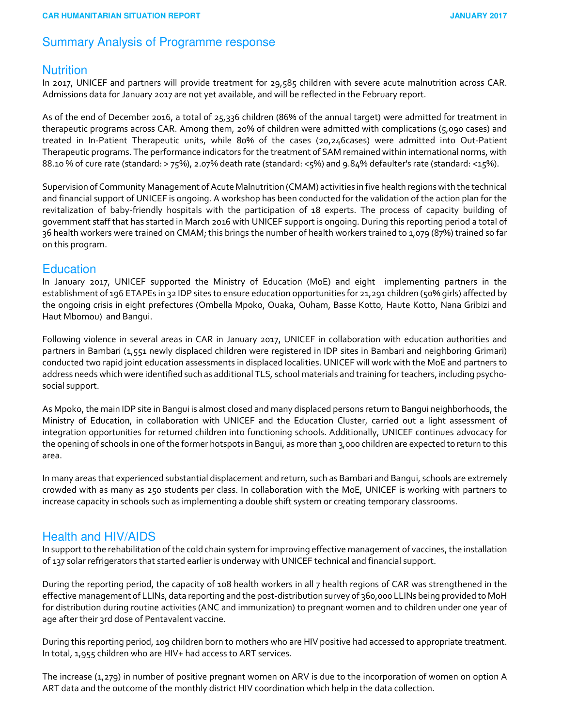#### Summary Analysis of Programme response

#### **Nutrition**

In 2017, UNICEF and partners will provide treatment for 29,585 children with severe acute malnutrition across CAR. Admissions data for January 2017 are not yet available, and will be reflected in the February report.

As of the end of December 2016, a total of 25,336 children (86% of the annual target) were admitted for treatment in therapeutic programs across CAR. Among them, 20% of children were admitted with complications (5,090 cases) and treated in In-Patient Therapeutic units, while 80% of the cases (20,246cases) were admitted into Out-Patient Therapeutic programs. The performance indicators for the treatment of SAM remained within international norms, with 88.10 % of cure rate (standard: > 75%), 2.07% death rate (standard: <5%) and 9.84% defaulter's rate (standard: <15%).

Supervision of Community Management of Acute Malnutrition (CMAM) activities in five health regions with the technical and financial support of UNICEF is ongoing. A workshop has been conducted for the validation of the action plan for the revitalization of baby-friendly hospitals with the participation of 18 experts. The process of capacity building of government staff that has started in March 2016 with UNICEF support is ongoing. During this reporting period a total of 36 health workers were trained on CMAM; this brings the number of health workers trained to 1,079 (87%) trained so far on this program.

#### **Education**

In January 2017, UNICEF supported the Ministry of Education (MoE) and eight implementing partners in the establishment of 196 ETAPEs in 32 IDP sites to ensure education opportunities for 21,291 children (50% girls) affected by the ongoing crisis in eight prefectures (Ombella Mpoko, Ouaka, Ouham, Basse Kotto, Haute Kotto, Nana Gribizi and Haut Mbomou) and Bangui.

Following violence in several areas in CAR in January 2017, UNICEF in collaboration with education authorities and partners in Bambari (1,551 newly displaced children were registered in IDP sites in Bambari and neighboring Grimari) conducted two rapid joint education assessments in displaced localities. UNICEF will work with the MoE and partners to address needs which were identified such as additional TLS, school materials and training for teachers, including psychosocial support.

As Mpoko, the main IDP site in Bangui is almost closed and many displaced persons return to Bangui neighborhoods, the Ministry of Education, in collaboration with UNICEF and the Education Cluster, carried out a light assessment of integration opportunities for returned children into functioning schools. Additionally, UNICEF continues advocacy for the opening of schools in one of the former hotspots in Bangui, as more than 3,000 children are expected to return to this area.

In many areas that experienced substantial displacement and return, such as Bambari and Bangui, schools are extremely crowded with as many as 250 students per class. In collaboration with the MoE, UNICEF is working with partners to increase capacity in schools such as implementing a double shift system or creating temporary classrooms.

#### Health and HIV/AIDS

In support to the rehabilitation of the cold chain system for improving effective management of vaccines, the installation of 137 solar refrigerators that started earlier is underway with UNICEF technical and financial support.

During the reporting period, the capacity of 108 health workers in all 7 health regions of CAR was strengthened in the effective management of LLINs, data reporting and the post-distribution survey of 360,000 LLINs being provided to MoH for distribution during routine activities (ANC and immunization) to pregnant women and to children under one year of age after their 3rd dose of Pentavalent vaccine.

During this reporting period, 109 children born to mothers who are HIV positive had accessed to appropriate treatment. In total, 1,955 children who are HIV+ had access to ART services.

The increase (1,279) in number of positive pregnant women on ARV is due to the incorporation of women on option A ART data and the outcome of the monthly district HIV coordination which help in the data collection.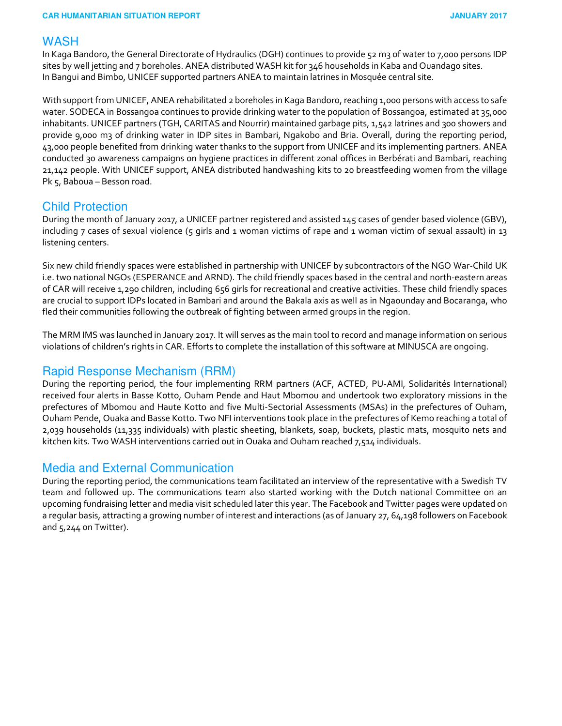#### **WASH**

In Kaga Bandoro, the General Directorate of Hydraulics (DGH) continues to provide 52 m3 of water to 7,000 persons IDP sites by well jetting and 7 boreholes. ANEA distributed WASH kit for 346 households in Kaba and Ouandago sites. In Bangui and Bimbo, UNICEF supported partners ANEA to maintain latrines in Mosquée central site.

With support from UNICEF, ANEA rehabilitated 2 boreholes in Kaga Bandoro, reaching 1,000 persons with access to safe water. SODECA in Bossangoa continues to provide drinking water to the population of Bossangoa, estimated at 35,000 inhabitants. UNICEF partners (TGH, CARITAS and Nourrir) maintained garbage pits, 1,542 latrines and 300 showers and provide 9,000 m3 of drinking water in IDP sites in Bambari, Ngakobo and Bria. Overall, during the reporting period, 43,000 people benefited from drinking water thanks to the support from UNICEF and its implementing partners. ANEA conducted 30 awareness campaigns on hygiene practices in different zonal offices in Berbérati and Bambari, reaching 21,142 people. With UNICEF support, ANEA distributed handwashing kits to 20 breastfeeding women from the village Pk 5, Baboua – Besson road.

#### Child Protection

During the month of January 2017, a UNICEF partner registered and assisted 145 cases of gender based violence (GBV), including 7 cases of sexual violence (5 girls and 1 woman victims of rape and 1 woman victim of sexual assault) in 13 listening centers.

Six new child friendly spaces were established in partnership with UNICEF by subcontractors of the NGO War-Child UK i.e. two national NGOs (ESPERANCE and ARND). The child friendly spaces based in the central and north-eastern areas of CAR will receive 1,290 children, including 656 girls for recreational and creative activities. These child friendly spaces are crucial to support IDPs located in Bambari and around the Bakala axis as well as in Ngaounday and Bocaranga, who fled their communities following the outbreak of fighting between armed groups in the region.

The MRM IMS was launched in January 2017. It will serves as the main tool to record and manage information on serious violations of children's rights in CAR. Efforts to complete the installation of this software at MINUSCA are ongoing.

#### Rapid Response Mechanism (RRM)

During the reporting period, the four implementing RRM partners (ACF, ACTED, PU-AMI, Solidarités International) received four alerts in Basse Kotto, Ouham Pende and Haut Mbomou and undertook two exploratory missions in the prefectures of Mbomou and Haute Kotto and five Multi-Sectorial Assessments (MSAs) in the prefectures of Ouham, Ouham Pende, Ouaka and Basse Kotto. Two NFI interventions took place in the prefectures of Kemo reaching a total of 2,039 households (11,335 individuals) with plastic sheeting, blankets, soap, buckets, plastic mats, mosquito nets and kitchen kits. Two WASH interventions carried out in Ouaka and Ouham reached 7,514 individuals.

#### Media and External Communication

During the reporting period, the communications team facilitated an interview of the representative with a Swedish TV team and followed up. The communications team also started working with the Dutch national Committee on an upcoming fundraising letter and media visit scheduled later this year. The Facebook and Twitter pages were updated on a regular basis, attracting a growing number of interest and interactions (as of January 27, 64,198 followers on Facebook and 5,244 on Twitter).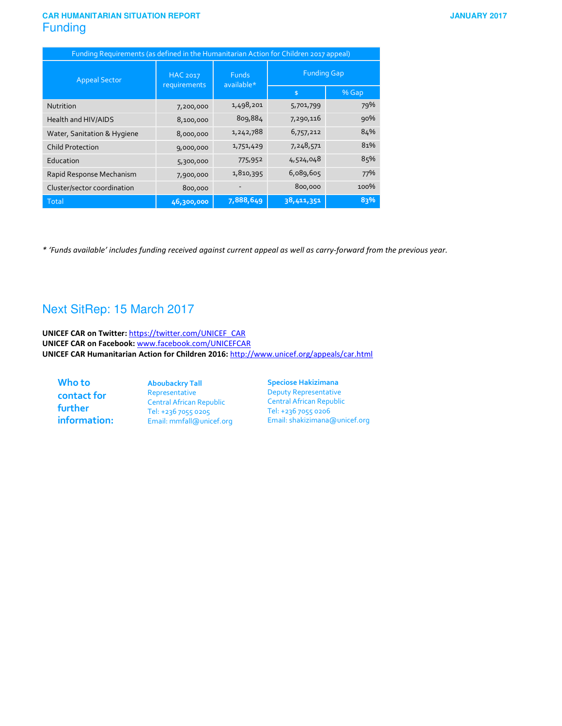#### **CAR HUMANITARIAN SITUATION REPORT Funding**

|  | <b>JANUARY 2017</b> |  |
|--|---------------------|--|
|  |                     |  |

| Funding Requirements (as defined in the Humanitarian Action for Children 2017 appeal) |                          |                            |                    |       |  |  |
|---------------------------------------------------------------------------------------|--------------------------|----------------------------|--------------------|-------|--|--|
| <b>Appeal Sector</b>                                                                  | HAC 2017<br>requirements | <b>Funds</b><br>available* | <b>Funding Gap</b> |       |  |  |
|                                                                                       |                          |                            | $\frac{4}{5}$      | % Gap |  |  |
| Nutrition                                                                             | 7,200,000                | 1,498,201                  | 5,701,799          | 79%   |  |  |
| Health and HIV/AIDS                                                                   | 8,100,000                | 809,884                    | 7,290,116          | 90%   |  |  |
| Water, Sanitation & Hygiene                                                           | 8,000,000                | 1,242,788                  | 6,757,212          | 84%   |  |  |
| <b>Child Protection</b>                                                               | 9,000,000                | 1,751,429                  | 7,248,571          | 81%   |  |  |
| Education                                                                             | 5,300,000                | 775,952                    | 4,524,048          | 85%   |  |  |
| Rapid Response Mechanism                                                              | 7,900,000                | 1,810,395                  | 6,089,605          | 77%   |  |  |
| Cluster/sector coordination                                                           | 800,000                  |                            | 800,000            | 100%  |  |  |
| Total                                                                                 | 46,300,000               | 7,888,649                  | 38,411,351         | 83%   |  |  |

*\* 'Funds available' includes funding received against current appeal as well as carry-forward from the previous year.* 

#### Next SitRep: 15 March 2017

**UNICEF CAR on Twitter:** https://twitter.com/UNICEF\_CAR **UNICEF CAR on Facebook:** www.facebook.com/UNICEFCAR **UNICEF CAR Humanitarian Action for Children 2016:** http://www.unicef.org/appeals/car.html

**Who to contact for further information:**  **Aboubackry Tall**  Representative Central African Republic Tel: +236 7055 0205 Email: mmfall@unicef.org **Speciose Hakizimana**  Deputy Representative Central African Republic Tel: +236 7055 0206 Email: shakizimana@unicef.org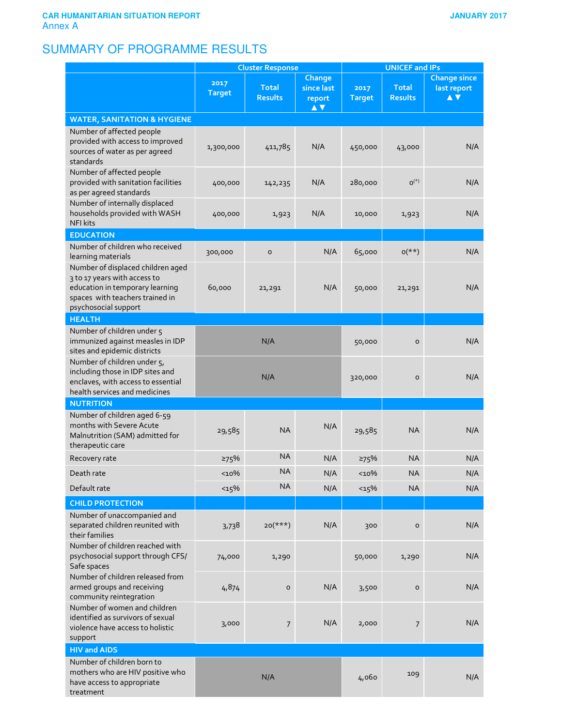## SUMMARY OF PROGRAMME RESULTS

|                                                                                                                                                                 | <b>Cluster Response</b> |                                | <b>UNICEF and IPs</b>                 |                       |                                |                                           |
|-----------------------------------------------------------------------------------------------------------------------------------------------------------------|-------------------------|--------------------------------|---------------------------------------|-----------------------|--------------------------------|-------------------------------------------|
|                                                                                                                                                                 | 2017<br><b>Target</b>   | <b>Total</b><br><b>Results</b> | Change<br>since last<br>report<br>A V | 2017<br><b>Target</b> | <b>Total</b><br><b>Results</b> | <b>Change since</b><br>last report<br>A V |
| <b>WATER, SANITATION &amp; HYGIENE</b>                                                                                                                          |                         |                                |                                       |                       |                                |                                           |
| Number of affected people<br>provided with access to improved<br>sources of water as per agreed<br>standards                                                    | 1,300,000               | 411,785                        | N/A                                   | 450,000               | 43,000                         | N/A                                       |
| Number of affected people<br>provided with sanitation facilities<br>as per agreed standards                                                                     | 400,000                 | 142,235                        | N/A                                   | 280,000               | $O^{(*)}$                      | N/A                                       |
| Number of internally displaced<br>households provided with WASH<br><b>NFI kits</b>                                                                              | 400,000                 | 1,923                          | N/A                                   | 10,000                | 1,923                          | N/A                                       |
| <b>EDUCATION</b>                                                                                                                                                |                         |                                |                                       |                       |                                |                                           |
| Number of children who received<br>learning materials                                                                                                           | 300,000                 | $\circ$                        | N/A                                   | 65,000                | $O(**)$                        | N/A                                       |
| Number of displaced children aged<br>3 to 17 years with access to<br>education in temporary learning<br>spaces with teachers trained in<br>psychosocial support | 60,000                  | 21,291                         | N/A                                   | 50,000                | 21,291                         | N/A                                       |
| <b>HEALTH</b>                                                                                                                                                   |                         |                                |                                       |                       |                                |                                           |
| Number of children under 5<br>immunized against measles in IDP<br>sites and epidemic districts                                                                  |                         | N/A                            |                                       | 50,000                | $\mathsf{o}$                   | N/A                                       |
| Number of children under 5,<br>including those in IDP sites and<br>enclaves, with access to essential<br>health services and medicines                          |                         | N/A                            |                                       | 320,000               | $\circ$                        | N/A                                       |
| <b>NUTRITION</b>                                                                                                                                                |                         |                                |                                       |                       |                                |                                           |
| Number of children aged 6-59<br>months with Severe Acute<br>Malnutrition (SAM) admitted for<br>therapeutic care                                                 | 29,585                  | <b>NA</b>                      | N/A                                   | 29,585                | <b>NA</b>                      | N/A                                       |
| Recovery rate                                                                                                                                                   | 275%                    | <b>NA</b>                      | N/A                                   | ≥75%                  | <b>NA</b>                      | N/A                                       |
| Death rate                                                                                                                                                      | $10\%$                  | <b>NA</b>                      | N/A                                   | $10\%$                | <b>NA</b>                      | N/A                                       |
| Default rate                                                                                                                                                    | <15%                    | <b>NA</b>                      | N/A                                   | <15%                  | <b>NA</b>                      | N/A                                       |
| <b>CHILD PROTECTION</b>                                                                                                                                         |                         |                                |                                       |                       |                                |                                           |
| Number of unaccompanied and<br>separated children reunited with<br>their families                                                                               | 3,738                   | $20(***)$                      | N/A                                   | 300                   | 0                              | N/A                                       |
| Number of children reached with<br>psychosocial support through CFS/<br>Safe spaces                                                                             | 74,000                  | 1,290                          |                                       | 50,000                | 1,290                          | N/A                                       |
| Number of children released from<br>armed groups and receiving<br>community reintegration                                                                       | 4,874                   | $\mathsf{o}$                   | N/A                                   | 3,500                 | $\mathsf O$                    | N/A                                       |
| Number of women and children<br>identified as survivors of sexual<br>violence have access to holistic<br>support                                                | 3,000                   | 7                              | N/A                                   | 2,000                 | 7                              | N/A                                       |
| <b>HIV and AIDS</b>                                                                                                                                             |                         |                                |                                       |                       |                                |                                           |
| Number of children born to<br>mothers who are HIV positive who<br>have access to appropriate<br>treatment                                                       |                         | N/A                            |                                       | 4,060                 | 109                            | N/A                                       |